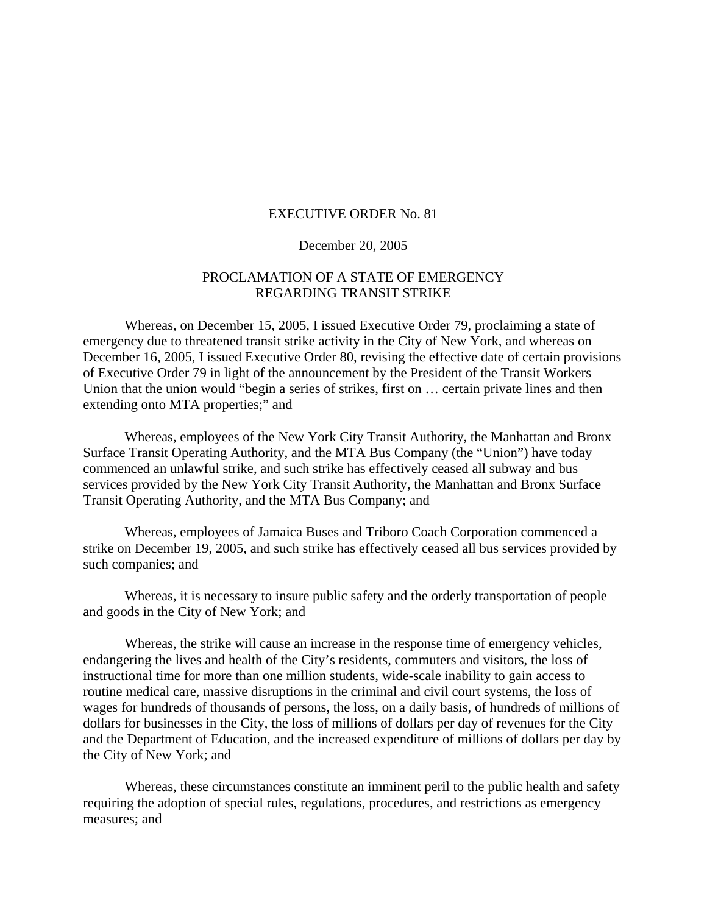#### EXECUTIVE ORDER No. 81

#### December 20, 2005

## PROCLAMATION OF A STATE OF EMERGENCY REGARDING TRANSIT STRIKE

 Whereas, on December 15, 2005, I issued Executive Order 79, proclaiming a state of emergency due to threatened transit strike activity in the City of New York, and whereas on December 16, 2005, I issued Executive Order 80, revising the effective date of certain provisions of Executive Order 79 in light of the announcement by the President of the Transit Workers Union that the union would "begin a series of strikes, first on … certain private lines and then extending onto MTA properties;" and

 Whereas, employees of the New York City Transit Authority, the Manhattan and Bronx Surface Transit Operating Authority, and the MTA Bus Company (the "Union") have today commenced an unlawful strike, and such strike has effectively ceased all subway and bus services provided by the New York City Transit Authority, the Manhattan and Bronx Surface Transit Operating Authority, and the MTA Bus Company; and

 Whereas, employees of Jamaica Buses and Triboro Coach Corporation commenced a strike on December 19, 2005, and such strike has effectively ceased all bus services provided by such companies; and

 Whereas, it is necessary to insure public safety and the orderly transportation of people and goods in the City of New York; and

Whereas, the strike will cause an increase in the response time of emergency vehicles, endangering the lives and health of the City's residents, commuters and visitors, the loss of instructional time for more than one million students, wide-scale inability to gain access to routine medical care, massive disruptions in the criminal and civil court systems, the loss of wages for hundreds of thousands of persons, the loss, on a daily basis, of hundreds of millions of dollars for businesses in the City, the loss of millions of dollars per day of revenues for the City and the Department of Education, and the increased expenditure of millions of dollars per day by the City of New York; and

 Whereas, these circumstances constitute an imminent peril to the public health and safety requiring the adoption of special rules, regulations, procedures, and restrictions as emergency measures; and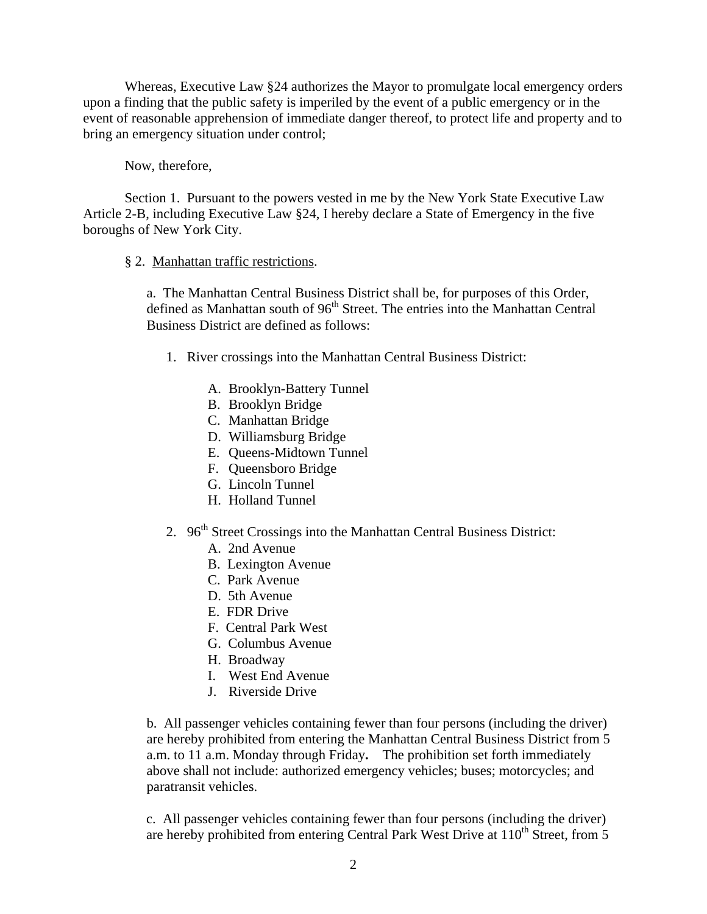Whereas, Executive Law §24 authorizes the Mayor to promulgate local emergency orders upon a finding that the public safety is imperiled by the event of a public emergency or in the event of reasonable apprehension of immediate danger thereof, to protect life and property and to bring an emergency situation under control;

Now, therefore,

Section 1. Pursuant to the powers vested in me by the New York State Executive Law Article 2-B, including Executive Law §24, I hereby declare a State of Emergency in the five boroughs of New York City.

# § 2. Manhattan traffic restrictions.

a. The Manhattan Central Business District shall be, for purposes of this Order, defined as Manhattan south of 96<sup>th</sup> Street. The entries into the Manhattan Central Business District are defined as follows:

- 1. River crossings into the Manhattan Central Business District:
	- A. Brooklyn-Battery Tunnel
	- B. Brooklyn Bridge
	- C. Manhattan Bridge
	- D. Williamsburg Bridge
	- E. Queens-Midtown Tunnel
	- F. Queensboro Bridge
	- G. Lincoln Tunnel
	- H. Holland Tunnel
- 2. 96<sup>th</sup> Street Crossings into the Manhattan Central Business District:
	- A. 2nd Avenue
	- B. Lexington Avenue
	- C. Park Avenue
	- D. 5th Avenue
	- E. FDR Drive
	- F. Central Park West
	- G. Columbus Avenue
	- H. Broadway
	- I. West End Avenue
	- J. Riverside Drive

b. All passenger vehicles containing fewer than four persons (including the driver) are hereby prohibited from entering the Manhattan Central Business District from 5 a.m. to 11 a.m. Monday through Friday**.** The prohibition set forth immediately above shall not include: authorized emergency vehicles; buses; motorcycles; and paratransit vehicles.

c. All passenger vehicles containing fewer than four persons (including the driver) are hereby prohibited from entering Central Park West Drive at  $110^{th}$  Street, from 5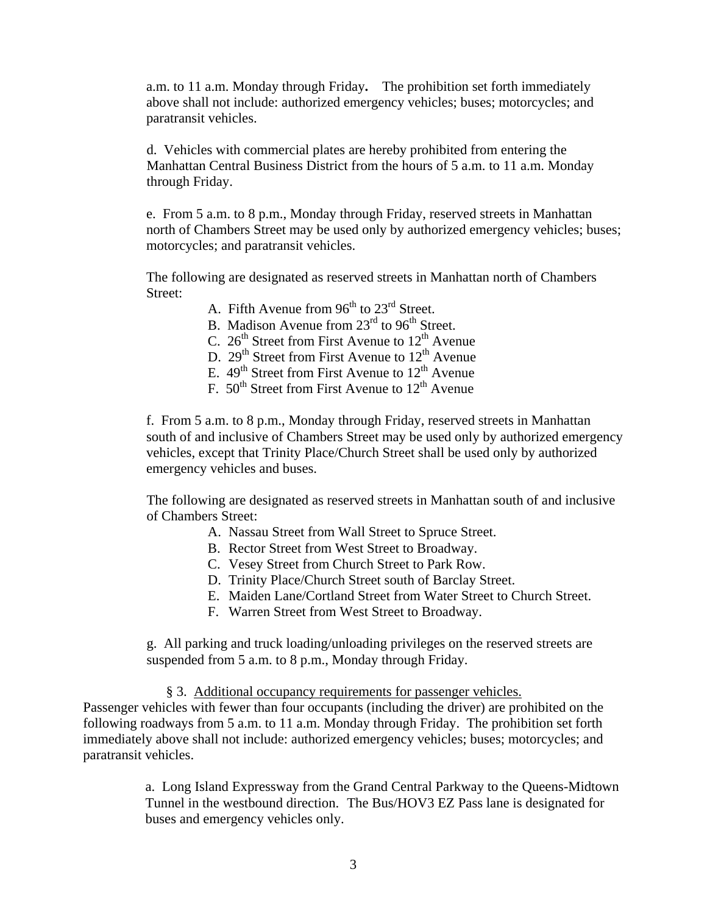a.m. to 11 a.m. Monday through Friday**.** The prohibition set forth immediately above shall not include: authorized emergency vehicles; buses; motorcycles; and paratransit vehicles.

d. Vehicles with commercial plates are hereby prohibited from entering the Manhattan Central Business District from the hours of 5 a.m. to 11 a.m. Monday through Friday.

e. From 5 a.m. to 8 p.m., Monday through Friday, reserved streets in Manhattan north of Chambers Street may be used only by authorized emergency vehicles; buses; motorcycles; and paratransit vehicles.

The following are designated as reserved streets in Manhattan north of Chambers Street:

A. Fifth Avenue from  $96<sup>th</sup>$  to  $23<sup>rd</sup>$  Street.

B. Madison Avenue from  $23<sup>rd</sup>$  to  $96<sup>th</sup>$  Street.

- C.  $26<sup>th</sup>$  Street from First Avenue to  $12<sup>th</sup>$  Avenue
- D.  $29<sup>th</sup>$  Street from First Avenue to  $12<sup>th</sup>$  Avenue
- E.  $49<sup>th</sup>$  Street from First Avenue to  $12<sup>th</sup>$  Avenue
- F.  $50^{th}$  Street from First Avenue to  $12^{th}$  Avenue

f. From 5 a.m. to 8 p.m., Monday through Friday, reserved streets in Manhattan south of and inclusive of Chambers Street may be used only by authorized emergency vehicles, except that Trinity Place/Church Street shall be used only by authorized emergency vehicles and buses.

The following are designated as reserved streets in Manhattan south of and inclusive of Chambers Street:

- A. Nassau Street from Wall Street to Spruce Street.
- B. Rector Street from West Street to Broadway.
- C. Vesey Street from Church Street to Park Row.
- D. Trinity Place/Church Street south of Barclay Street.
- E. Maiden Lane/Cortland Street from Water Street to Church Street.
- F. Warren Street from West Street to Broadway.

g. All parking and truck loading/unloading privileges on the reserved streets are suspended from 5 a.m. to 8 p.m., Monday through Friday.

### § 3. Additional occupancy requirements for passenger vehicles.

Passenger vehicles with fewer than four occupants (including the driver) are prohibited on the following roadways from 5 a.m. to 11 a.m. Monday through Friday. The prohibition set forth immediately above shall not include: authorized emergency vehicles; buses; motorcycles; and paratransit vehicles.

> a. Long Island Expressway from the Grand Central Parkway to the Queens-Midtown Tunnel in the westbound direction. The Bus/HOV3 EZ Pass lane is designated for buses and emergency vehicles only.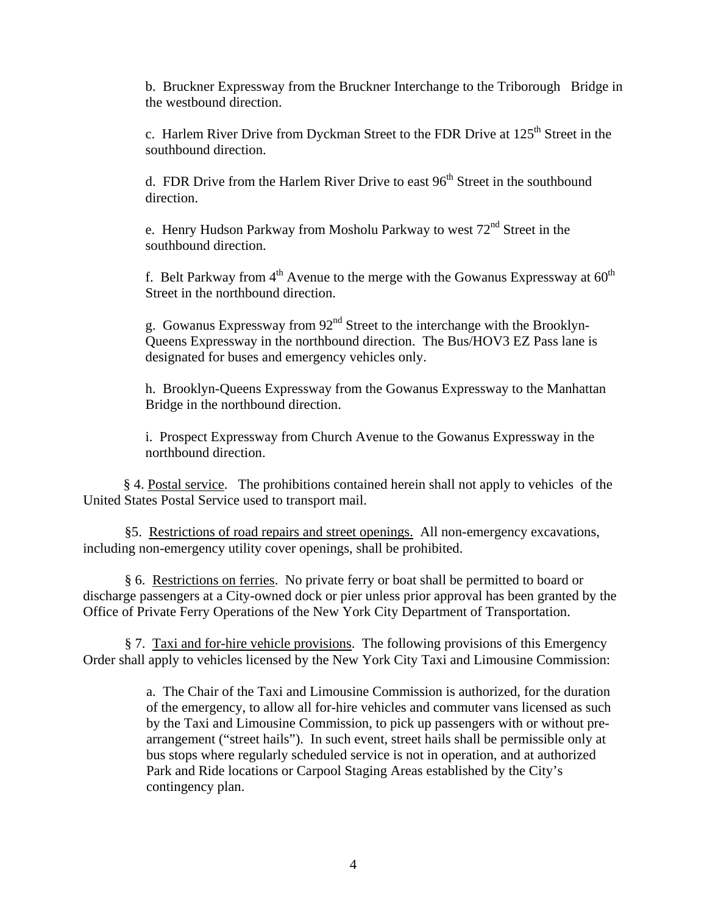b. Bruckner Expressway from the Bruckner Interchange to the Triborough Bridge in the westbound direction.

c. Harlem River Drive from Dyckman Street to the FDR Drive at 125<sup>th</sup> Street in the southbound direction.

d. FDR Drive from the Harlem River Drive to east  $96<sup>th</sup>$  Street in the southbound direction.

e. Henry Hudson Parkway from Mosholu Parkway to west 72nd Street in the southbound direction.

f. Belt Parkway from  $4<sup>th</sup>$  Avenue to the merge with the Gowanus Expressway at  $60<sup>th</sup>$ Street in the northbound direction.

g. Gowanus Expressway from 92<sup>nd</sup> Street to the interchange with the Brooklyn-Queens Expressway in the northbound direction. The Bus/HOV3 EZ Pass lane is designated for buses and emergency vehicles only.

h. Brooklyn-Queens Expressway from the Gowanus Expressway to the Manhattan Bridge in the northbound direction.

i. Prospect Expressway from Church Avenue to the Gowanus Expressway in the northbound direction.

§ 4. Postal service. The prohibitions contained herein shall not apply to vehicles of the United States Postal Service used to transport mail.

§5. Restrictions of road repairs and street openings. All non-emergency excavations, including non-emergency utility cover openings, shall be prohibited.

 § 6. Restrictions on ferries. No private ferry or boat shall be permitted to board or discharge passengers at a City-owned dock or pier unless prior approval has been granted by the Office of Private Ferry Operations of the New York City Department of Transportation.

§ 7. Taxi and for-hire vehicle provisions. The following provisions of this Emergency Order shall apply to vehicles licensed by the New York City Taxi and Limousine Commission:

> a. The Chair of the Taxi and Limousine Commission is authorized, for the duration of the emergency, to allow all for-hire vehicles and commuter vans licensed as such by the Taxi and Limousine Commission, to pick up passengers with or without prearrangement ("street hails"). In such event, street hails shall be permissible only at bus stops where regularly scheduled service is not in operation, and at authorized Park and Ride locations or Carpool Staging Areas established by the City's contingency plan.